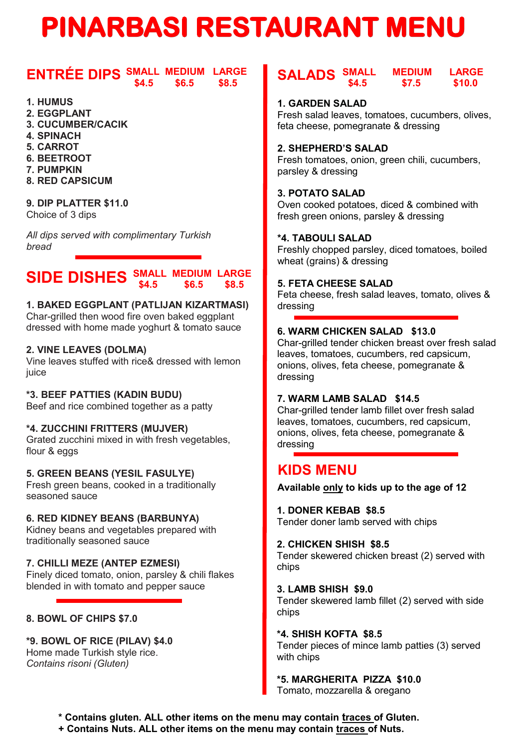# **PINARBASI RESTAURANT MENU**

#### **ENTRÉE DIPS** SMALL MEDIUM LARGE  **\$4.5 \$6.5 \$8.5**

- **1. HUMUS**
- **2. EGGPLANT**
- **3. CUCUMBER/CACIK**
- **4. SPINACH**
- **5. CARROT**
- **6. BEETROOT**
- **7. PUMPKIN**
- **8. RED CAPSICUM**

# **9. DIP PLATTER \$11.0**

Choice of 3 dips

*All dips served with complimentary Turkish bread*

#### **SIDE DISHES** SMALL MEDIUM LARGE  **\$4.5 \$6.5 \$8.5**

#### **1. BAKED EGGPLANT (PATLIJAN KIZARTMASI)**

Char-grilled then wood fire oven baked eggplant dressed with home made yoghurt & tomato sauce

#### **2. VINE LEAVES (DOLMA)**

Vine leaves stuffed with rice& dressed with lemon iuice

#### **\*3. BEEF PATTIES (KADIN BUDU)**

Beef and rice combined together as a patty

#### **\*4. ZUCCHINI FRITTERS (MUJVER)**

Grated zucchini mixed in with fresh vegetables, flour & eggs

#### **5. GREEN BEANS (YESIL FASULYE)**

Fresh green beans, cooked in a traditionally seasoned sauce

#### **6. RED KIDNEY BEANS (BARBUNYA)**

Kidney beans and vegetables prepared with traditionally seasoned sauce

# **7. CHILLI MEZE (ANTEP EZMESI)**

Finely diced tomato, onion, parsley & chili flakes blended in with tomato and pepper sauce

# **8. BOWL OF CHIPS \$7.0**

**\*9. BOWL OF RICE (PILAV) \$4.0** Home made Turkish style rice. *Contains risoni (Gluten)*

## **SALADS SMALL MEDIUM LARGE \$4.5 \$7.5 \$10.0**

#### **1. GARDEN SALAD**

Fresh salad leaves, tomatoes, cucumbers, olives, feta cheese, pomegranate & dressing

#### **2. SHEPHERD'S SALAD**

Fresh tomatoes, onion, green chili, cucumbers, parsley & dressing

#### **3. POTATO SALAD**

Oven cooked potatoes, diced & combined with fresh green onions, parsley & dressing

#### **\*4. TABOULI SALAD**

Freshly chopped parsley, diced tomatoes, boiled wheat (grains) & dressing

# **5. FETA CHEESE SALAD**

Feta cheese, fresh salad leaves, tomato, olives & dressing

#### **6. WARM CHICKEN SALAD \$13.0**

Char-grilled tender chicken breast over fresh salad leaves, tomatoes, cucumbers, red capsicum, onions, olives, feta cheese, pomegranate & dressing

#### **7. WARM LAMB SALAD \$14.5**

Char-grilled tender lamb fillet over fresh salad leaves, tomatoes, cucumbers, red capsicum, onions, olives, feta cheese, pomegranate & dressing

# **KIDS MENU**

**Available only to kids up to the age of 12**

#### **1. DONER KEBAB \$8.5**

Tender doner lamb served with chips

#### **2. CHICKEN SHISH \$8.5**

Tender skewered chicken breast (2) served with chips

#### **3. LAMB SHISH \$9.0**

Tender skewered lamb fillet (2) served with side chips

#### **\*4. SHISH KOFTA \$8.5**

Tender pieces of mince lamb patties (3) served with chips

# **\*5. MARGHERITA PIZZA \$10.0**

Tomato, mozzarella & oregano

**\* Contains gluten. ALL other items on the menu may contain traces of Gluten.**

**+ Contains Nuts. ALL other items on the menu may contain traces of Nuts.**